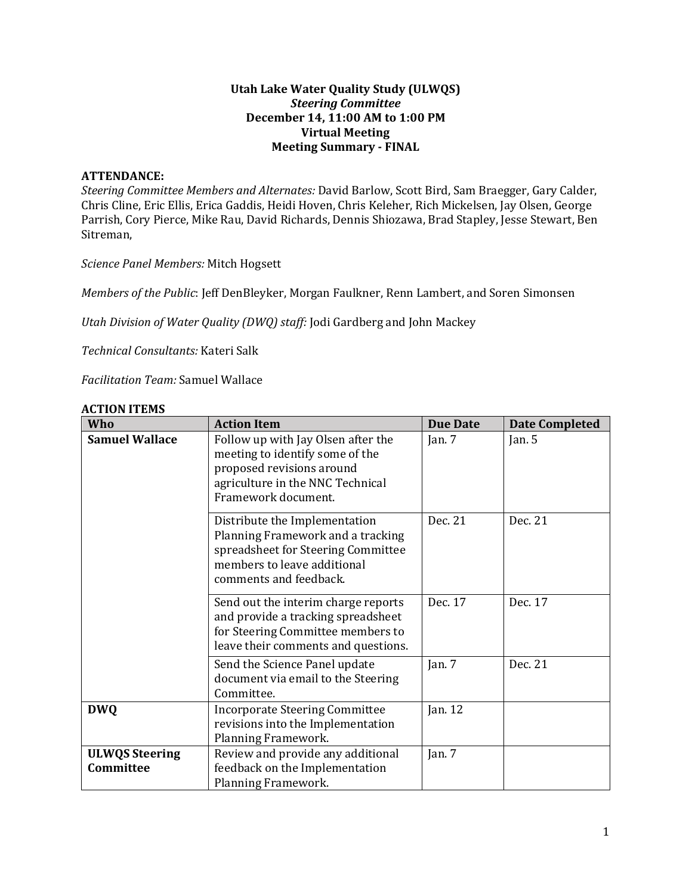#### **Utah Lake Water Quality Study (ULWQS)** *Steering Committee* **December 14, 11:00 AM to 1:00 PM Virtual Meeting Meeting Summary - FINAL**

#### **ATTENDANCE:**

*Steering Committee Members and Alternates:* David Barlow, Scott Bird, Sam Braegger, Gary Calder, Chris Cline, Eric Ellis, Erica Gaddis, Heidi Hoven, Chris Keleher, Rich Mickelsen, Jay Olsen, George Parrish, Cory Pierce, Mike Rau, David Richards, Dennis Shiozawa, Brad Stapley, Jesse Stewart, Ben Sitreman,

*Science Panel Members:* Mitch Hogsett

*Members of the Public*: Jeff DenBleyker, Morgan Faulkner, Renn Lambert, and Soren Simonsen

*Utah Division of Water Quality (DWQ) staff:* Jodi Gardberg and John Mackey

*Technical Consultants:* Kateri Salk

*Facilitation Team:* Samuel Wallace

| Who                                | <b>Action Item</b>                                                                                                                                                | <b>Due Date</b> | <b>Date Completed</b> |
|------------------------------------|-------------------------------------------------------------------------------------------------------------------------------------------------------------------|-----------------|-----------------------|
| <b>Samuel Wallace</b>              | Follow up with Jay Olsen after the<br>meeting to identify some of the<br>proposed revisions around<br>agriculture in the NNC Technical<br>Framework document.     | Jan. $7$        | Jan. $5$              |
|                                    | Distribute the Implementation<br>Planning Framework and a tracking<br>spreadsheet for Steering Committee<br>members to leave additional<br>comments and feedback. | Dec. 21         | Dec. 21               |
|                                    | Send out the interim charge reports<br>and provide a tracking spreadsheet<br>for Steering Committee members to<br>leave their comments and questions.             | Dec. 17         | Dec. 17               |
|                                    | Send the Science Panel update<br>document via email to the Steering<br>Committee.                                                                                 | Jan. $7$        | Dec. 21               |
| <b>DWQ</b>                         | <b>Incorporate Steering Committee</b><br>revisions into the Implementation<br>Planning Framework.                                                                 | Jan. 12         |                       |
| <b>ULWQS Steering</b><br>Committee | Review and provide any additional<br>feedback on the Implementation<br>Planning Framework.                                                                        | Jan. $7$        |                       |

#### **ACTION ITEMS**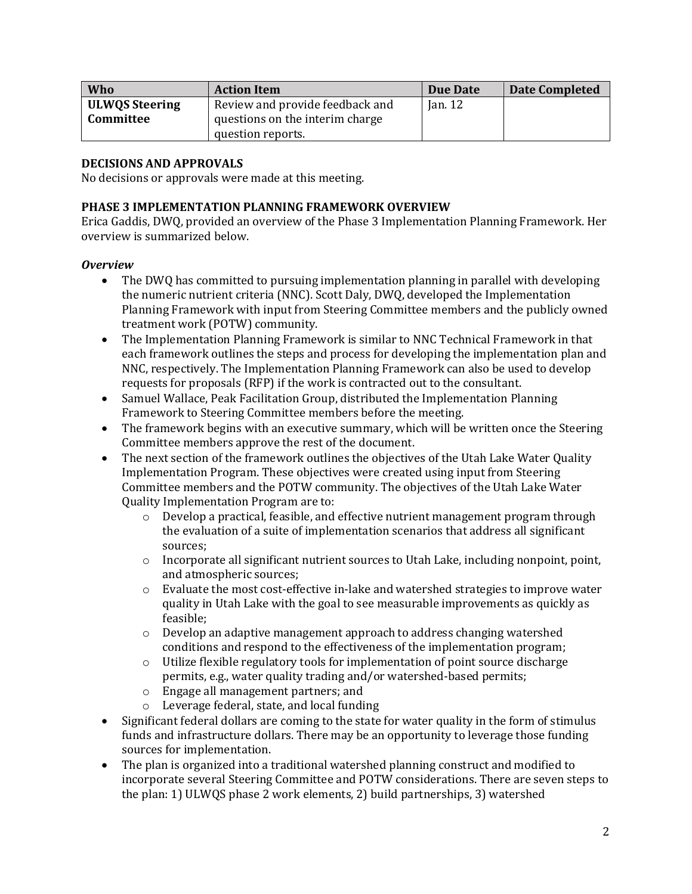| Who                   | <b>Action Item</b>              | Due Date  | <b>Date Completed</b> |
|-----------------------|---------------------------------|-----------|-----------------------|
| <b>ULWOS Steering</b> | Review and provide feedback and | Jan. $12$ |                       |
| Committee             | questions on the interim charge |           |                       |
|                       | question reports.               |           |                       |

## **DECISIONS AND APPROVALS**

No decisions or approvals were made at this meeting.

### **PHASE 3 IMPLEMENTATION PLANNING FRAMEWORK OVERVIEW**

Erica Gaddis, DWQ, provided an overview of the Phase 3 Implementation Planning Framework. Her overview is summarized below.

#### *Overview*

- The DWO has committed to pursuing implementation planning in parallel with developing the numeric nutrient criteria (NNC). Scott Daly, DWQ, developed the Implementation Planning Framework with input from Steering Committee members and the publicly owned treatment work (POTW) community.
- The Implementation Planning Framework is similar to NNC Technical Framework in that each framework outlines the steps and process for developing the implementation plan and NNC, respectively. The Implementation Planning Framework can also be used to develop requests for proposals (RFP) if the work is contracted out to the consultant.
- Samuel Wallace, Peak Facilitation Group, distributed the Implementation Planning Framework to Steering Committee members before the meeting.
- The framework begins with an executive summary, which will be written once the Steering Committee members approve the rest of the document.
- The next section of the framework outlines the objectives of the Utah Lake Water Quality Implementation Program. These objectives were created using input from Steering Committee members and the POTW community. The objectives of the Utah Lake Water Quality Implementation Program are to:
	- $\circ$  Develop a practical, feasible, and effective nutrient management program through the evaluation of a suite of implementation scenarios that address all significant sources;
	- $\circ$  Incorporate all significant nutrient sources to Utah Lake, including nonpoint, point, and atmospheric sources;
	- o Evaluate the most cost-effective in-lake and watershed strategies to improve water quality in Utah Lake with the goal to see measurable improvements as quickly as feasible;
	- o Develop an adaptive management approach to address changing watershed conditions and respond to the effectiveness of the implementation program;
	- o Utilize flexible regulatory tools for implementation of point source discharge permits, e.g., water quality trading and/or watershed-based permits;
	- o Engage all management partners; and
	- o Leverage federal, state, and local funding
- Significant federal dollars are coming to the state for water quality in the form of stimulus funds and infrastructure dollars. There may be an opportunity to leverage those funding sources for implementation.
- The plan is organized into a traditional watershed planning construct and modified to incorporate several Steering Committee and POTW considerations. There are seven steps to the plan: 1) ULWQS phase 2 work elements, 2) build partnerships, 3) watershed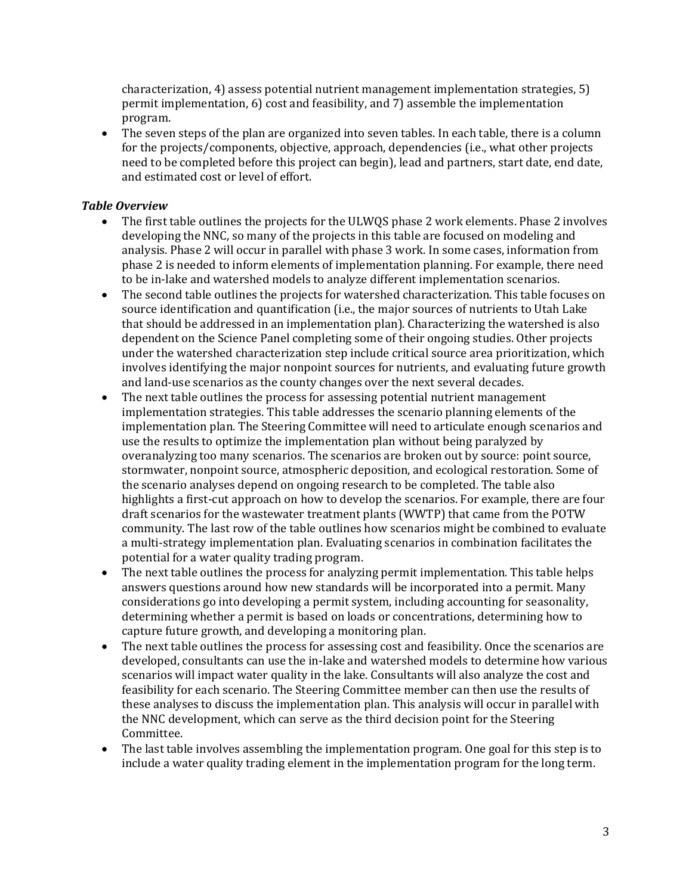characterization, 4) assess potential nutrient management implementation strategies, 5) permit implementation, 6) cost and feasibility, and 7) assemble the implementation program.

• The seven steps of the plan are organized into seven tables. In each table, there is a column for the projects/components, objective, approach, dependencies (i.e., what other projects need to be completed before this project can begin), lead and partners, start date, end date, and estimated cost or level of effort.

#### *Table Overview*

- The first table outlines the projects for the ULWOS phase 2 work elements. Phase 2 involves developing the NNC, so many of the projects in this table are focused on modeling and analysis. Phase 2 will occur in parallel with phase 3 work. In some cases, information from phase 2 is needed to inform elements of implementation planning. For example, there need to be in-lake and watershed models to analyze different implementation scenarios.
- The second table outlines the projects for watershed characterization. This table focuses on source identification and quantification (i.e., the major sources of nutrients to Utah Lake that should be addressed in an implementation plan). Characterizing the watershed is also dependent on the Science Panel completing some of their ongoing studies. Other projects under the watershed characterization step include critical source area prioritization, which involves identifying the major nonpoint sources for nutrients, and evaluating future growth and land-use scenarios as the county changes over the next several decades.
- The next table outlines the process for assessing potential nutrient management implementation strategies. This table addresses the scenario planning elements of the implementation plan. The Steering Committee will need to articulate enough scenarios and use the results to optimize the implementation plan without being paralyzed by overanalyzing too many scenarios. The scenarios are broken out by source: point source, stormwater, nonpoint source, atmospheric deposition, and ecological restoration. Some of the scenario analyses depend on ongoing research to be completed. The table also highlights a first-cut approach on how to develop the scenarios. For example, there are four draft scenarios for the wastewater treatment plants (WWTP) that came from the POTW community. The last row of the table outlines how scenarios might be combined to evaluate a multi-strategy implementation plan. Evaluating scenarios in combination facilitates the potential for a water quality trading program.
- The next table outlines the process for analyzing permit implementation. This table helps answers questions around how new standards will be incorporated into a permit. Many considerations go into developing a permit system, including accounting for seasonality, determining whether a permit is based on loads or concentrations, determining how to capture future growth, and developing a monitoring plan.
- The next table outlines the process for assessing cost and feasibility. Once the scenarios are developed, consultants can use the in-lake and watershed models to determine how various scenarios will impact water quality in the lake. Consultants will also analyze the cost and feasibility for each scenario. The Steering Committee member can then use the results of these analyses to discuss the implementation plan. This analysis will occur in parallel with the NNC development, which can serve as the third decision point for the Steering Committee.
- The last table involves assembling the implementation program. One goal for this step is to include a water quality trading element in the implementation program for the long term.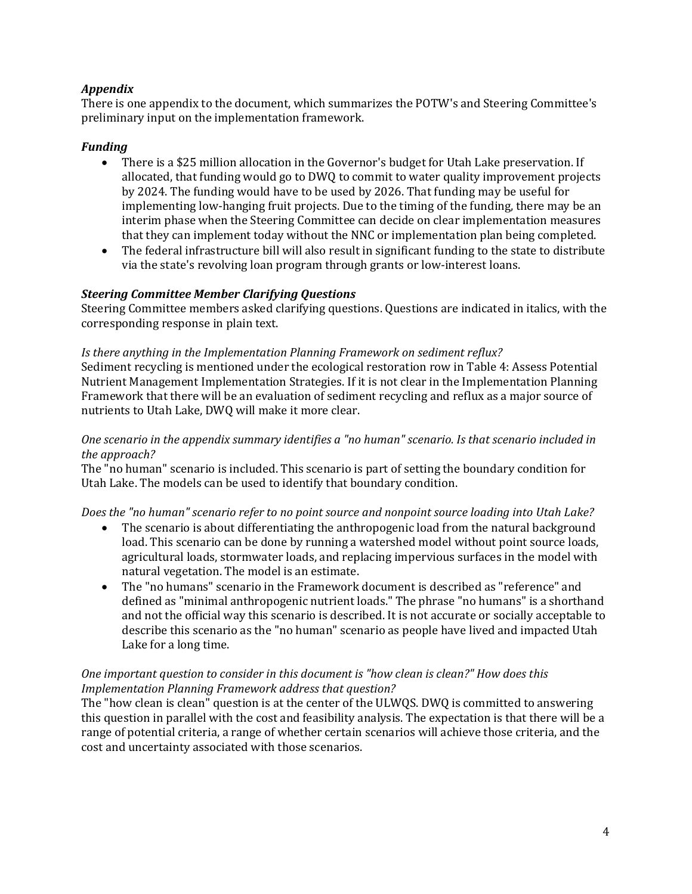# *Appendix*

There is one appendix to the document, which summarizes the POTW's and Steering Committee's preliminary input on the implementation framework.

### *Funding*

- There is a \$25 million allocation in the Governor's budget for Utah Lake preservation. If allocated, that funding would go to DWQ to commit to water quality improvement projects by 2024. The funding would have to be used by 2026. That funding may be useful for implementing low-hanging fruit projects. Due to the timing of the funding, there may be an interim phase when the Steering Committee can decide on clear implementation measures that they can implement today without the NNC or implementation plan being completed.
- The federal infrastructure bill will also result in significant funding to the state to distribute via the state's revolving loan program through grants or low-interest loans.

#### *Steering Committee Member Clarifying Questions*

Steering Committee members asked clarifying questions. Questions are indicated in italics, with the corresponding response in plain text.

#### *Is there anything in the Implementation Planning Framework on sediment reflux?*

Sediment recycling is mentioned under the ecological restoration row in Table 4: Assess Potential Nutrient Management Implementation Strategies. If it is not clear in the Implementation Planning Framework that there will be an evaluation of sediment recycling and reflux as a major source of nutrients to Utah Lake, DWQ will make it more clear.

#### *One scenario in the appendix summary identifies a "no human" scenario. Is that scenario included in the approach?*

The "no human" scenario is included. This scenario is part of setting the boundary condition for Utah Lake. The models can be used to identify that boundary condition.

#### *Does the "no human" scenario refer to no point source and nonpoint source loading into Utah Lake?*

- The scenario is about differentiating the anthropogenic load from the natural background load. This scenario can be done by running a watershed model without point source loads, agricultural loads, stormwater loads, and replacing impervious surfaces in the model with natural vegetation. The model is an estimate.
- The "no humans" scenario in the Framework document is described as "reference" and defined as "minimal anthropogenic nutrient loads." The phrase "no humans" is a shorthand and not the official way this scenario is described. It is not accurate or socially acceptable to describe this scenario as the "no human" scenario as people have lived and impacted Utah Lake for a long time.

#### *One important question to consider in this document is "how clean is clean?" How does this Implementation Planning Framework address that question?*

The "how clean is clean" question is at the center of the ULWQS. DWQ is committed to answering this question in parallel with the cost and feasibility analysis. The expectation is that there will be a range of potential criteria, a range of whether certain scenarios will achieve those criteria, and the cost and uncertainty associated with those scenarios.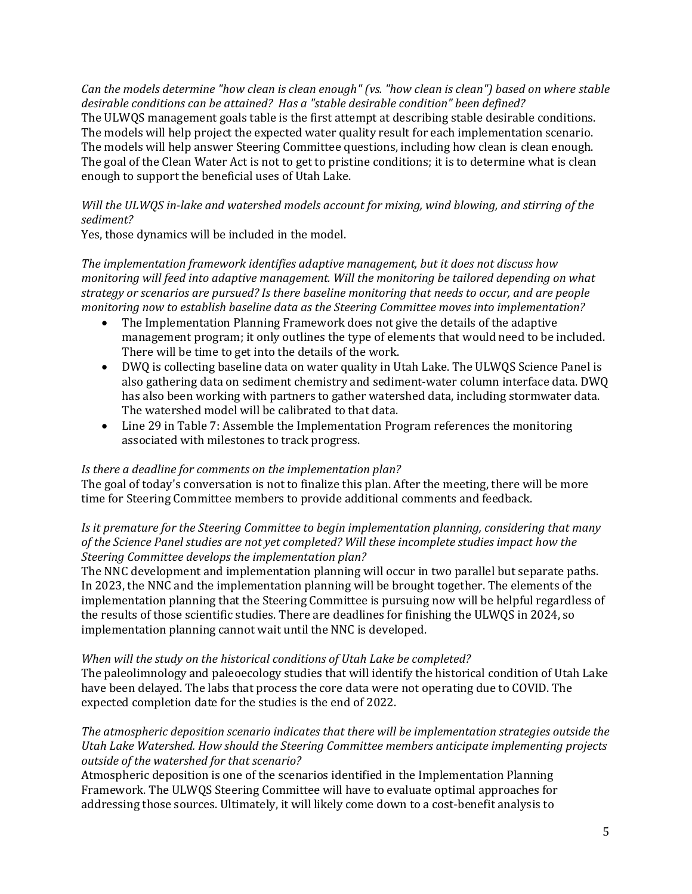*Can the models determine "how clean is clean enough" (vs. "how clean is clean") based on where stable desirable conditions can be attained? Has a "stable desirable condition" been defined?* The ULWQS management goals table is the first attempt at describing stable desirable conditions. The models will help project the expected water quality result for each implementation scenario. The models will help answer Steering Committee questions, including how clean is clean enough. The goal of the Clean Water Act is not to get to pristine conditions; it is to determine what is clean enough to support the beneficial uses of Utah Lake.

## *Will the ULWQS in-lake and watershed models account for mixing, wind blowing, and stirring of the sediment?*

Yes, those dynamics will be included in the model.

*The implementation framework identifies adaptive management, but it does not discuss how monitoring will feed into adaptive management. Will the monitoring be tailored depending on what strategy or scenarios are pursued? Is there baseline monitoring that needs to occur, and are people monitoring now to establish baseline data as the Steering Committee moves into implementation?*

- The Implementation Planning Framework does not give the details of the adaptive management program; it only outlines the type of elements that would need to be included. There will be time to get into the details of the work.
- DWQ is collecting baseline data on water quality in Utah Lake. The ULWQS Science Panel is also gathering data on sediment chemistry and sediment-water column interface data. DWQ has also been working with partners to gather watershed data, including stormwater data. The watershed model will be calibrated to that data.
- Line 29 in Table 7: Assemble the Implementation Program references the monitoring associated with milestones to track progress.

### *Is there a deadline for comments on the implementation plan?*

The goal of today's conversation is not to finalize this plan. After the meeting, there will be more time for Steering Committee members to provide additional comments and feedback.

#### *Is it premature for the Steering Committee to begin implementation planning, considering that many of the Science Panel studies are not yet completed? Will these incomplete studies impact how the Steering Committee develops the implementation plan?*

The NNC development and implementation planning will occur in two parallel but separate paths. In 2023, the NNC and the implementation planning will be brought together. The elements of the implementation planning that the Steering Committee is pursuing now will be helpful regardless of the results of those scientific studies. There are deadlines for finishing the ULWQS in 2024, so implementation planning cannot wait until the NNC is developed.

#### *When will the study on the historical conditions of Utah Lake be completed?*

The paleolimnology and paleoecology studies that will identify the historical condition of Utah Lake have been delayed. The labs that process the core data were not operating due to COVID. The expected completion date for the studies is the end of 2022.

#### *The atmospheric deposition scenario indicates that there will be implementation strategies outside the Utah Lake Watershed. How should the Steering Committee members anticipate implementing projects outside of the watershed for that scenario?*

Atmospheric deposition is one of the scenarios identified in the Implementation Planning Framework. The ULWQS Steering Committee will have to evaluate optimal approaches for addressing those sources. Ultimately, it will likely come down to a cost-benefit analysis to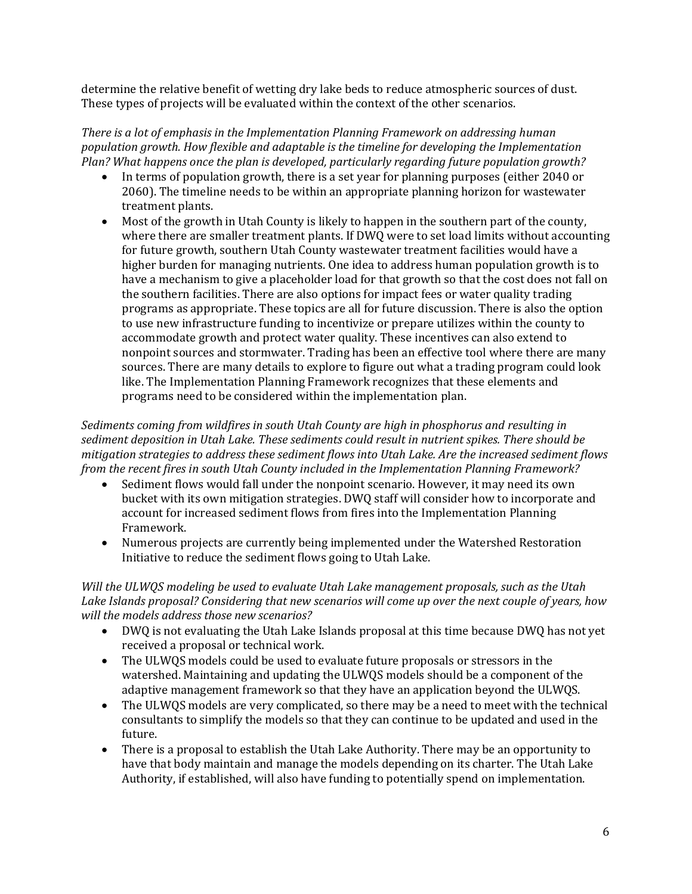determine the relative benefit of wetting dry lake beds to reduce atmospheric sources of dust. These types of projects will be evaluated within the context of the other scenarios.

*There is a lot of emphasis in the Implementation Planning Framework on addressing human population growth. How flexible and adaptable is the timeline for developing the Implementation Plan? What happens once the plan is developed, particularly regarding future population growth?*

- In terms of population growth, there is a set year for planning purposes (either 2040 or 2060). The timeline needs to be within an appropriate planning horizon for wastewater treatment plants.
- Most of the growth in Utah County is likely to happen in the southern part of the county, where there are smaller treatment plants. If DWQ were to set load limits without accounting for future growth, southern Utah County wastewater treatment facilities would have a higher burden for managing nutrients. One idea to address human population growth is to have a mechanism to give a placeholder load for that growth so that the cost does not fall on the southern facilities. There are also options for impact fees or water quality trading programs as appropriate. These topics are all for future discussion. There is also the option to use new infrastructure funding to incentivize or prepare utilizes within the county to accommodate growth and protect water quality. These incentives can also extend to nonpoint sources and stormwater. Trading has been an effective tool where there are many sources. There are many details to explore to figure out what a trading program could look like. The Implementation Planning Framework recognizes that these elements and programs need to be considered within the implementation plan.

*Sediments coming from wildfires in south Utah County are high in phosphorus and resulting in sediment deposition in Utah Lake. These sediments could result in nutrient spikes. There should be mitigation strategies to address these sediment flows into Utah Lake. Are the increased sediment flows from the recent fires in south Utah County included in the Implementation Planning Framework?*

- Sediment flows would fall under the nonpoint scenario. However, it may need its own bucket with its own mitigation strategies. DWQ staff will consider how to incorporate and account for increased sediment flows from fires into the Implementation Planning Framework.
- Numerous projects are currently being implemented under the Watershed Restoration Initiative to reduce the sediment flows going to Utah Lake.

*Will the ULWQS modeling be used to evaluate Utah Lake management proposals, such as the Utah Lake Islands proposal? Considering that new scenarios will come up over the next couple of years, how will the models address those new scenarios?*

- DWQ is not evaluating the Utah Lake Islands proposal at this time because DWQ has not yet received a proposal or technical work.
- The ULWQS models could be used to evaluate future proposals or stressors in the watershed. Maintaining and updating the ULWQS models should be a component of the adaptive management framework so that they have an application beyond the ULWQS.
- The ULWQS models are very complicated, so there may be a need to meet with the technical consultants to simplify the models so that they can continue to be updated and used in the future.
- There is a proposal to establish the Utah Lake Authority. There may be an opportunity to have that body maintain and manage the models depending on its charter. The Utah Lake Authority, if established, will also have funding to potentially spend on implementation.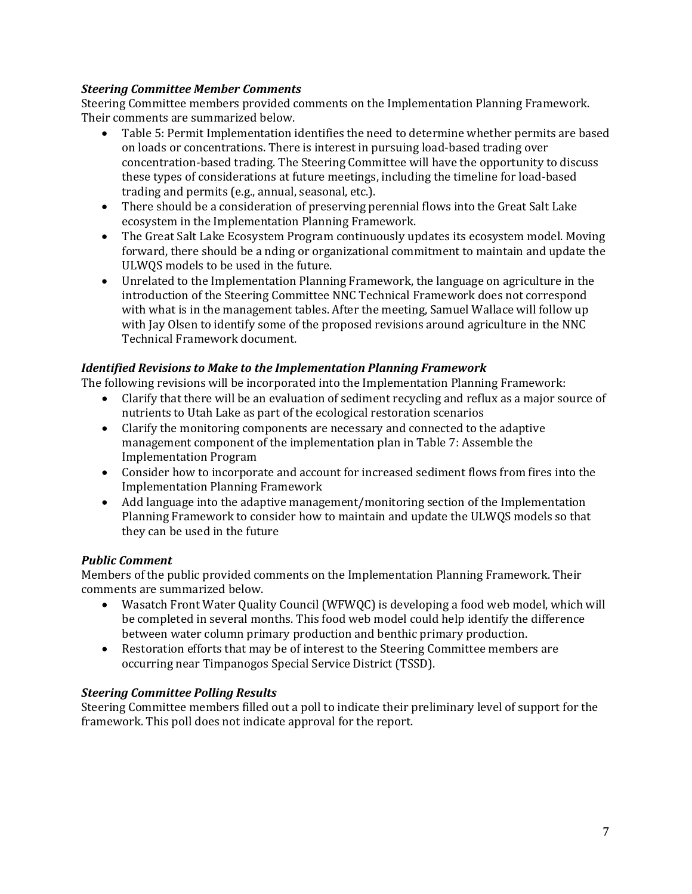## *Steering Committee Member Comments*

Steering Committee members provided comments on the Implementation Planning Framework. Their comments are summarized below.

- Table 5: Permit Implementation identifies the need to determine whether permits are based on loads or concentrations. There is interest in pursuing load-based trading over concentration-based trading. The Steering Committee will have the opportunity to discuss these types of considerations at future meetings, including the timeline for load-based trading and permits (e.g., annual, seasonal, etc.).
- There should be a consideration of preserving perennial flows into the Great Salt Lake ecosystem in the Implementation Planning Framework.
- The Great Salt Lake Ecosystem Program continuously updates its ecosystem model. Moving forward, there should be a nding or organizational commitment to maintain and update the ULWQS models to be used in the future.
- Unrelated to the Implementation Planning Framework, the language on agriculture in the introduction of the Steering Committee NNC Technical Framework does not correspond with what is in the management tables. After the meeting, Samuel Wallace will follow up with Jay Olsen to identify some of the proposed revisions around agriculture in the NNC Technical Framework document.

# *Identified Revisions to Make to the Implementation Planning Framework*

The following revisions will be incorporated into the Implementation Planning Framework:

- Clarify that there will be an evaluation of sediment recycling and reflux as a major source of nutrients to Utah Lake as part of the ecological restoration scenarios
- Clarify the monitoring components are necessary and connected to the adaptive management component of the implementation plan in Table 7: Assemble the Implementation Program
- Consider how to incorporate and account for increased sediment flows from fires into the Implementation Planning Framework
- Add language into the adaptive management/monitoring section of the Implementation Planning Framework to consider how to maintain and update the ULWQS models so that they can be used in the future

# *Public Comment*

Members of the public provided comments on the Implementation Planning Framework. Their comments are summarized below.

- Wasatch Front Water Quality Council (WFWQC) is developing a food web model, which will be completed in several months. This food web model could help identify the difference between water column primary production and benthic primary production.
- Restoration efforts that may be of interest to the Steering Committee members are occurring near Timpanogos Special Service District (TSSD).

### *Steering Committee Polling Results*

Steering Committee members filled out a poll to indicate their preliminary level of support for the framework. This poll does not indicate approval for the report.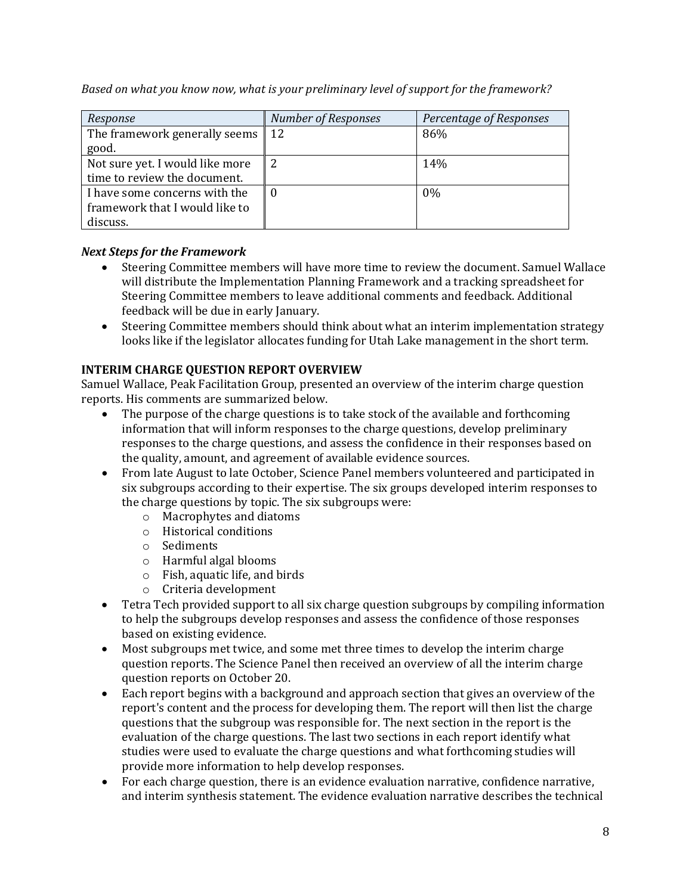| Response                                     | <b>Number of Responses</b> | Percentage of Responses |
|----------------------------------------------|----------------------------|-------------------------|
| The framework generally seems $\parallel$ 12 |                            | 86%                     |
| good.                                        |                            |                         |
| Not sure yet. I would like more              |                            | 14%                     |
| time to review the document.                 |                            |                         |
| I have some concerns with the                |                            | $0\%$                   |
| framework that I would like to               |                            |                         |
| discuss.                                     |                            |                         |

*Based on what you know now, what is your preliminary level of support for the framework?*

# *Next Steps for the Framework*

- Steering Committee members will have more time to review the document. Samuel Wallace will distribute the Implementation Planning Framework and a tracking spreadsheet for Steering Committee members to leave additional comments and feedback. Additional feedback will be due in early January.
- Steering Committee members should think about what an interim implementation strategy looks like if the legislator allocates funding for Utah Lake management in the short term.

# **INTERIM CHARGE QUESTION REPORT OVERVIEW**

Samuel Wallace, Peak Facilitation Group, presented an overview of the interim charge question reports. His comments are summarized below.

- The purpose of the charge questions is to take stock of the available and forthcoming information that will inform responses to the charge questions, develop preliminary responses to the charge questions, and assess the confidence in their responses based on the quality, amount, and agreement of available evidence sources.
- From late August to late October, Science Panel members volunteered and participated in six subgroups according to their expertise. The six groups developed interim responses to the charge questions by topic. The six subgroups were:
	- o Macrophytes and diatoms
	- o Historical conditions
	- o Sediments
	- o Harmful algal blooms
	- o Fish, aquatic life, and birds
	- o Criteria development
- Tetra Tech provided support to all six charge question subgroups by compiling information to help the subgroups develop responses and assess the confidence of those responses based on existing evidence.
- Most subgroups met twice, and some met three times to develop the interim charge question reports. The Science Panel then received an overview of all the interim charge question reports on October 20.
- Each report begins with a background and approach section that gives an overview of the report's content and the process for developing them. The report will then list the charge questions that the subgroup was responsible for. The next section in the report is the evaluation of the charge questions. The last two sections in each report identify what studies were used to evaluate the charge questions and what forthcoming studies will provide more information to help develop responses.
- For each charge question, there is an evidence evaluation narrative, confidence narrative, and interim synthesis statement. The evidence evaluation narrative describes the technical